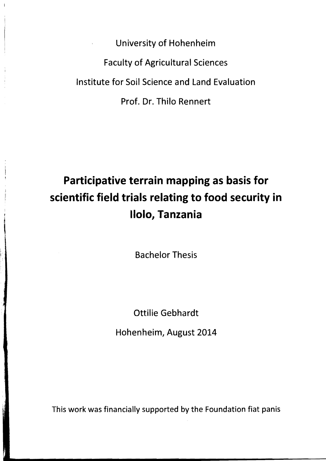University of Hohenheim Faculty of Agricultural Sciences Institute for Soil Science and Land Evaluation Prof. Dr. Thilo Rennert

## **Participative terrain mapping as basis for scientific field trials relating to food security in 11010, Tanzania**

Bachelor Thesis

Ottilie Gebhardt

Hohenheim, August 2014

This work was financially supported by the Foundation fiat panis